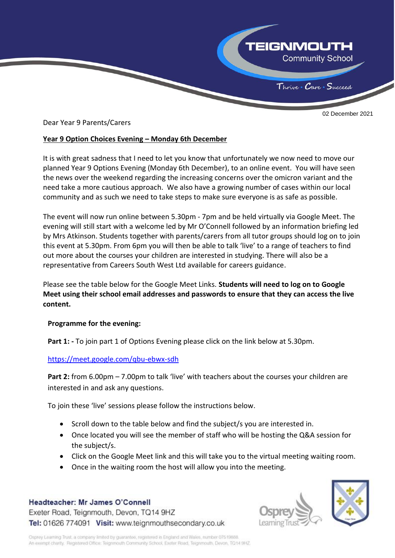

02 December 2021

Dear Year 9 Parents/Carers

### **Year 9 Option Choices Evening – Monday 6th December**

It is with great sadness that I need to let you know that unfortunately we now need to move our planned Year 9 Options Evening (Monday 6th December), to an online event. You will have seen the news over the weekend regarding the increasing concerns over the omicron variant and the need take a more cautious approach. We also have a growing number of cases within our local community and as such we need to take steps to make sure everyone is as safe as possible.

The event will now run online between 5.30pm - 7pm and be held virtually via Google Meet. The evening will still start with a welcome led by Mr O'Connell followed by an information briefing led by Mrs Atkinson. Students together with parents/carers from all tutor groups should log on to join this event at 5.30pm. From 6pm you will then be able to talk 'live' to a range of teachers to find out more about the courses your children are interested in studying. There will also be a representative from Careers South West Ltd available for careers guidance.

Please see the table below for the Google Meet Links. **Students will need to log on to Google Meet using their school email addresses and passwords to ensure that they can access the live content.**

#### **Programme for the evening:**

**Part 1: -** To join part 1 of Options Evening please click on the link below at 5.30pm.

#### <https://meet.google.com/qbu-ebwx-sdh>

**Part 2:** from 6.00pm – 7.00pm to talk 'live' with teachers about the courses your children are interested in and ask any questions.

To join these 'live' sessions please follow the instructions below.

- Scroll down to the table below and find the subject/s you are interested in.
- Once located you will see the member of staff who will be hosting the Q&A session for the subject/s.
- Click on the Google Meet link and this will take you to the virtual meeting waiting room.
- Once in the waiting room the host will allow you into the meeting.

# Headteacher: Mr James O'Connell

Exeter Road, Teignmouth, Devon, TQ14 9HZ Tel: 01626 774091 Visit: www.teignmouthsecondary.co.uk



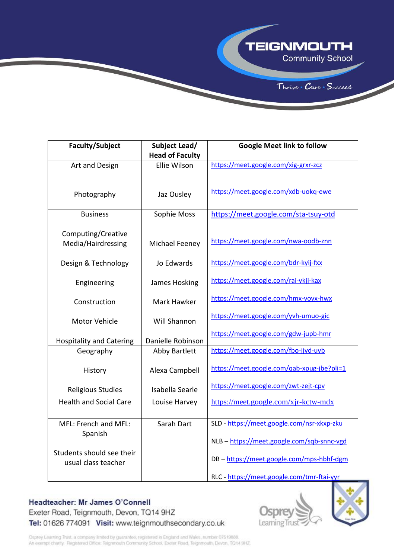**TEIGNMOUTH** 

Thrive Care Succeed





# Headteacher: Mr James O'Connell

Exeter Road, Teignmouth, Devon, TQ14 9HZ Tel: 01626 774091 Visit: www.teignmouthsecondary.co.uk





Osprey Learning Trust, a company limited by guarantee, registered in England and Wales, number 07519888. An exempt charity. Registered Office: Teignmouth Community School, Exeter Road, Teignmouth, Devon, TQ14 9HZ.